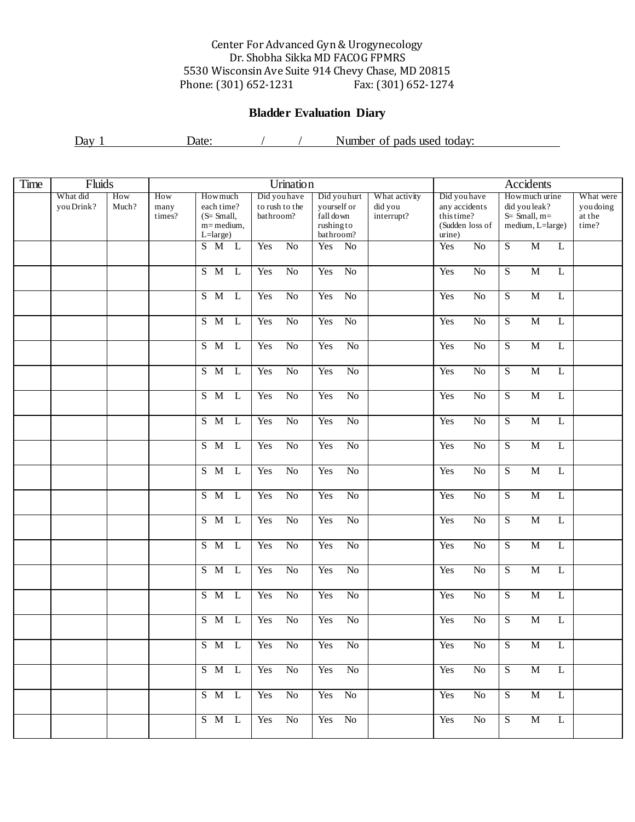## Center For Advanced Gyn & Urogynecology Dr. Shobha Sikka MD FACOG FPMRS 5530 Wisconsin Ave Suite 914 Chevy Chase, MD 20815 Phone: (301) 652-1231

## **Bladder Evaluation Diary**

Day 1 Date: / / Number of pads used today:

| Time | Fluids                 |                                       | <b>Urination</b> |                                                               |                |                                             |                 |                                                                          |                 |                                        |                                                                          | Accidents       |                                                                       |                |                                           |  |  |  |
|------|------------------------|---------------------------------------|------------------|---------------------------------------------------------------|----------------|---------------------------------------------|-----------------|--------------------------------------------------------------------------|-----------------|----------------------------------------|--------------------------------------------------------------------------|-----------------|-----------------------------------------------------------------------|----------------|-------------------------------------------|--|--|--|
|      | What did<br>you Drink? | How<br>How<br>Much?<br>many<br>times? |                  | Howmuch<br>each time?<br>$(S=Small,$<br>m=medium,<br>L=large) |                | Did you have<br>to rush to the<br>bathroom? |                 | Did you hurt<br>yourself or<br>fall down<br>$\!$ rushing to<br>bathroom? |                 | What activity<br>did you<br>interrupt? | Did you have<br>any accidents<br>this time?<br>(Sudden loss of<br>urine) |                 | How much urine<br>did you leak?<br>$S=$ Small, m=<br>medium, L=large) |                | What were<br>you doing<br>at the<br>time? |  |  |  |
|      |                        |                                       |                  | S M L                                                         |                | Yes                                         | $\overline{No}$ | Yes                                                                      | No              |                                        | Yes                                                                      | $\overline{No}$ | $\overline{S}$                                                        | $\overline{M}$ | L                                         |  |  |  |
|      |                        |                                       |                  | $S$ M                                                         | $\mathbf{L}$   | Yes                                         | $\overline{No}$ | Yes                                                                      | N <sub>o</sub>  |                                        | Yes                                                                      | $\overline{No}$ | $\overline{S}$                                                        | $\overline{M}$ | L                                         |  |  |  |
|      |                        |                                       |                  | S M                                                           | $\mathbf{L}$   | Yes                                         | $\overline{No}$ | Yes                                                                      | N <sub>o</sub>  |                                        | Yes                                                                      | $\overline{No}$ | $\overline{S}$                                                        | $\overline{M}$ | L                                         |  |  |  |
|      |                        |                                       |                  | $S$ M                                                         | $\mathbf{L}$   | Yes                                         | $\overline{No}$ | Yes                                                                      | N <sub>o</sub>  |                                        | Yes                                                                      | $\overline{No}$ | $\overline{S}$                                                        | $\overline{M}$ | $\bf L$                                   |  |  |  |
|      |                        |                                       |                  | $S$ M                                                         | $\mathbf{L}$   | Yes                                         | $\overline{No}$ | Yes                                                                      | $\overline{No}$ |                                        | Yes                                                                      | $\overline{No}$ | $\overline{S}$                                                        | $\overline{M}$ | $\bf L$                                   |  |  |  |
|      |                        |                                       |                  | S M                                                           | $\mathbf{L}$   | Yes                                         | $\overline{No}$ | Yes                                                                      | $\overline{No}$ |                                        | Yes                                                                      | $\overline{No}$ | $\overline{S}$                                                        | $\overline{M}$ | L                                         |  |  |  |
|      |                        |                                       |                  | $S$ M                                                         | $\mathbf{L}$   | Yes                                         | $\overline{No}$ | Yes                                                                      | $\overline{No}$ |                                        | Yes                                                                      | $\overline{No}$ | $\overline{S}$                                                        | $\overline{M}$ | $\bf L$                                   |  |  |  |
|      |                        |                                       |                  | $S$ M                                                         | $\overline{L}$ | Yes                                         | $\overline{No}$ | Yes                                                                      | $\overline{No}$ |                                        | Yes                                                                      | $\overline{No}$ | $\overline{S}$                                                        | $\overline{M}$ | $\bf L$                                   |  |  |  |
|      |                        |                                       |                  | $S$ M                                                         | $\mathbf{L}$   | Yes                                         | $\overline{No}$ | Yes                                                                      | $\overline{No}$ |                                        | Yes                                                                      | $\overline{No}$ | $\overline{S}$                                                        | $\overline{M}$ | $\bf L$                                   |  |  |  |
|      |                        |                                       |                  | $S$ M                                                         | $\mathbf{L}$   | Yes                                         | $\overline{No}$ | Yes                                                                      | $\overline{No}$ |                                        | Yes                                                                      | $\overline{No}$ | $\overline{S}$                                                        | $\overline{M}$ | $\bf L$                                   |  |  |  |
|      |                        |                                       |                  | $S$ M                                                         | $\overline{L}$ | Yes                                         | $\overline{No}$ | Yes                                                                      | $\overline{No}$ |                                        | Yes                                                                      | $\overline{No}$ | $\overline{S}$                                                        | $\overline{M}$ | $\bf L$                                   |  |  |  |
|      |                        |                                       |                  | S M                                                           | $\mathbf{L}$   | Yes                                         | $\overline{No}$ | Yes                                                                      | $\overline{No}$ |                                        | Yes                                                                      | $\overline{No}$ | $\overline{S}$                                                        | $\overline{M}$ | L                                         |  |  |  |
|      |                        |                                       |                  | $S$ M                                                         | $\overline{L}$ | Yes                                         | $\overline{No}$ | Yes                                                                      | $\overline{No}$ |                                        | Yes                                                                      | $\overline{No}$ | $\overline{S}$                                                        | $\overline{M}$ | $\bf L$                                   |  |  |  |
|      |                        |                                       |                  | $S$ M                                                         | $\overline{L}$ | Yes                                         | $\overline{No}$ | Yes                                                                      | $\overline{No}$ |                                        | Yes                                                                      | $\overline{No}$ | $\overline{S}$                                                        | $\overline{M}$ | $\bf L$                                   |  |  |  |
|      |                        |                                       |                  | S M                                                           | $\mathbf{L}$   | Yes                                         | $\overline{No}$ | Yes                                                                      | $\overline{No}$ |                                        | Yes                                                                      | $\overline{No}$ | $\overline{S}$                                                        | $\overline{M}$ | $\bf L$                                   |  |  |  |
|      |                        |                                       |                  | S M                                                           | L              | Yes                                         | $\overline{No}$ | Yes                                                                      | N <sub>o</sub>  |                                        | Yes                                                                      | $\overline{No}$ | $\overline{S}$                                                        | $\overline{M}$ | L                                         |  |  |  |
|      |                        |                                       |                  | S M L                                                         |                | Yes                                         | No              | Yes                                                                      | No              |                                        | Yes                                                                      | No              | S                                                                     | M              | L                                         |  |  |  |
|      |                        |                                       |                  | S M L                                                         |                | Yes                                         | $\overline{No}$ | Yes                                                                      | $\rm No$        |                                        | Yes                                                                      | $\overline{No}$ | $\overline{S}$                                                        | $\overline{M}$ | L                                         |  |  |  |
|      |                        |                                       |                  | S M L                                                         |                | Yes                                         | $\overline{No}$ | Yes No                                                                   |                 |                                        | Yes                                                                      | No              | $\overline{S}$                                                        | $\overline{M}$ | L                                         |  |  |  |
|      |                        |                                       |                  | S M L                                                         |                | Yes                                         | $\rm No$        |                                                                          | Yes No          |                                        | Yes                                                                      | No              | $\overline{S}$                                                        | M              | L                                         |  |  |  |